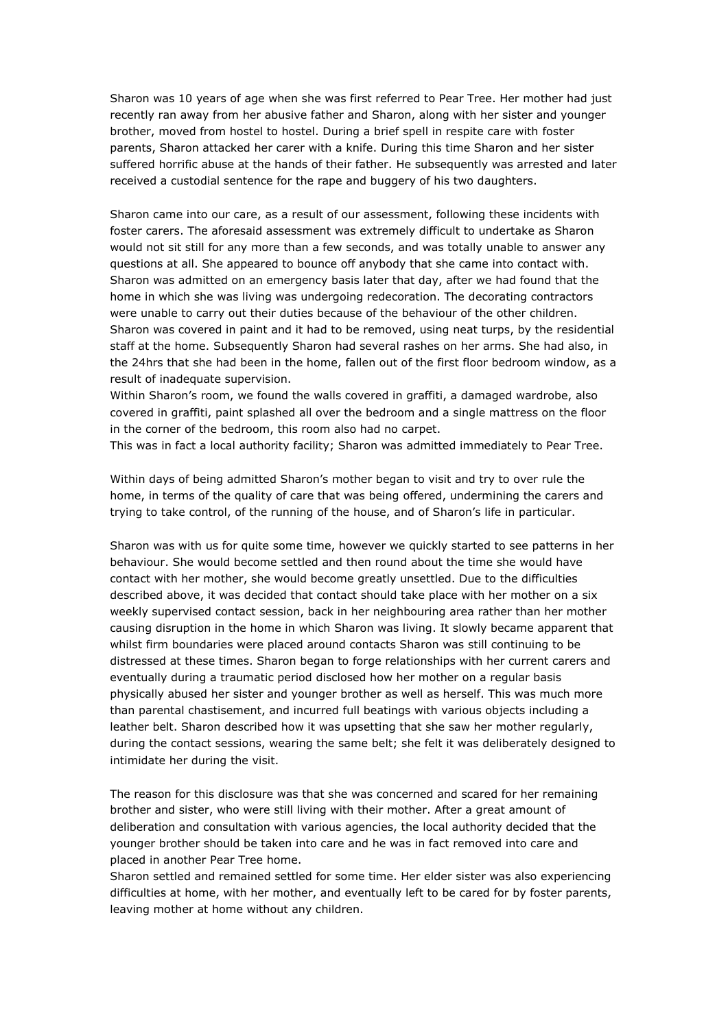Sharon was 10 years of age when she was first referred to Pear Tree. Her mother had just recently ran away from her abusive father and Sharon, along with her sister and younger brother, moved from hostel to hostel. During a brief spell in respite care with foster parents, Sharon attacked her carer with a knife. During this time Sharon and her sister suffered horrific abuse at the hands of their father. He subsequently was arrested and later received a custodial sentence for the rape and buggery of his two daughters.

Sharon came into our care, as a result of our assessment, following these incidents with foster carers. The aforesaid assessment was extremely difficult to undertake as Sharon would not sit still for any more than a few seconds, and was totally unable to answer any questions at all. She appeared to bounce off anybody that she came into contact with. Sharon was admitted on an emergency basis later that day, after we had found that the home in which she was living was undergoing redecoration. The decorating contractors were unable to carry out their duties because of the behaviour of the other children. Sharon was covered in paint and it had to be removed, using neat turps, by the residential staff at the home. Subsequently Sharon had several rashes on her arms. She had also, in the 24hrs that she had been in the home, fallen out of the first floor bedroom window, as a result of inadequate supervision.

Within Sharon's room, we found the walls covered in graffiti, a damaged wardrobe, also covered in graffiti, paint splashed all over the bedroom and a single mattress on the floor in the corner of the bedroom, this room also had no carpet.

This was in fact a local authority facility; Sharon was admitted immediately to Pear Tree.

Within days of being admitted Sharon's mother began to visit and try to over rule the home, in terms of the quality of care that was being offered, undermining the carers and trying to take control, of the running of the house, and of Sharon's life in particular.

Sharon was with us for quite some time, however we quickly started to see patterns in her behaviour. She would become settled and then round about the time she would have contact with her mother, she would become greatly unsettled. Due to the difficulties described above, it was decided that contact should take place with her mother on a six weekly supervised contact session, back in her neighbouring area rather than her mother causing disruption in the home in which Sharon was living. It slowly became apparent that whilst firm boundaries were placed around contacts Sharon was still continuing to be distressed at these times. Sharon began to forge relationships with her current carers and eventually during a traumatic period disclosed how her mother on a regular basis physically abused her sister and younger brother as well as herself. This was much more than parental chastisement, and incurred full beatings with various objects including a leather belt. Sharon described how it was upsetting that she saw her mother regularly, during the contact sessions, wearing the same belt; she felt it was deliberately designed to intimidate her during the visit.

The reason for this disclosure was that she was concerned and scared for her remaining brother and sister, who were still living with their mother. After a great amount of deliberation and consultation with various agencies, the local authority decided that the younger brother should be taken into care and he was in fact removed into care and placed in another Pear Tree home.

Sharon settled and remained settled for some time. Her elder sister was also experiencing difficulties at home, with her mother, and eventually left to be cared for by foster parents, leaving mother at home without any children.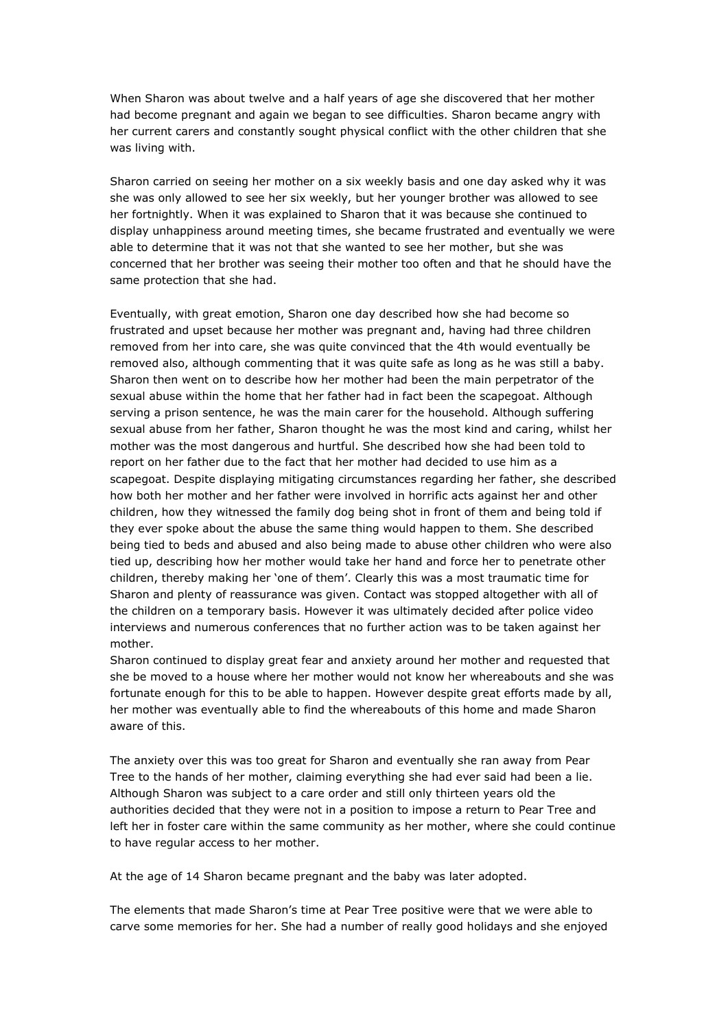When Sharon was about twelve and a half years of age she discovered that her mother had become pregnant and again we began to see difficulties. Sharon became angry with her current carers and constantly sought physical conflict with the other children that she was living with.

Sharon carried on seeing her mother on a six weekly basis and one day asked why it was she was only allowed to see her six weekly, but her younger brother was allowed to see her fortnightly. When it was explained to Sharon that it was because she continued to display unhappiness around meeting times, she became frustrated and eventually we were able to determine that it was not that she wanted to see her mother, but she was concerned that her brother was seeing their mother too often and that he should have the same protection that she had.

Eventually, with great emotion, Sharon one day described how she had become so frustrated and upset because her mother was pregnant and, having had three children removed from her into care, she was quite convinced that the 4th would eventually be removed also, although commenting that it was quite safe as long as he was still a baby. Sharon then went on to describe how her mother had been the main perpetrator of the sexual abuse within the home that her father had in fact been the scapegoat. Although serving a prison sentence, he was the main carer for the household. Although suffering sexual abuse from her father, Sharon thought he was the most kind and caring, whilst her mother was the most dangerous and hurtful. She described how she had been told to report on her father due to the fact that her mother had decided to use him as a scapegoat. Despite displaying mitigating circumstances regarding her father, she described how both her mother and her father were involved in horrific acts against her and other children, how they witnessed the family dog being shot in front of them and being told if they ever spoke about the abuse the same thing would happen to them. She described being tied to beds and abused and also being made to abuse other children who were also tied up, describing how her mother would take her hand and force her to penetrate other children, thereby making her 'one of them'. Clearly this was a most traumatic time for Sharon and plenty of reassurance was given. Contact was stopped altogether with all of the children on a temporary basis. However it was ultimately decided after police video interviews and numerous conferences that no further action was to be taken against her mother.

Sharon continued to display great fear and anxiety around her mother and requested that she be moved to a house where her mother would not know her whereabouts and she was fortunate enough for this to be able to happen. However despite great efforts made by all, her mother was eventually able to find the whereabouts of this home and made Sharon aware of this.

The anxiety over this was too great for Sharon and eventually she ran away from Pear Tree to the hands of her mother, claiming everything she had ever said had been a lie. Although Sharon was subject to a care order and still only thirteen years old the authorities decided that they were not in a position to impose a return to Pear Tree and left her in foster care within the same community as her mother, where she could continue to have regular access to her mother.

At the age of 14 Sharon became pregnant and the baby was later adopted.

The elements that made Sharon's time at Pear Tree positive were that we were able to carve some memories for her. She had a number of really good holidays and she enjoyed